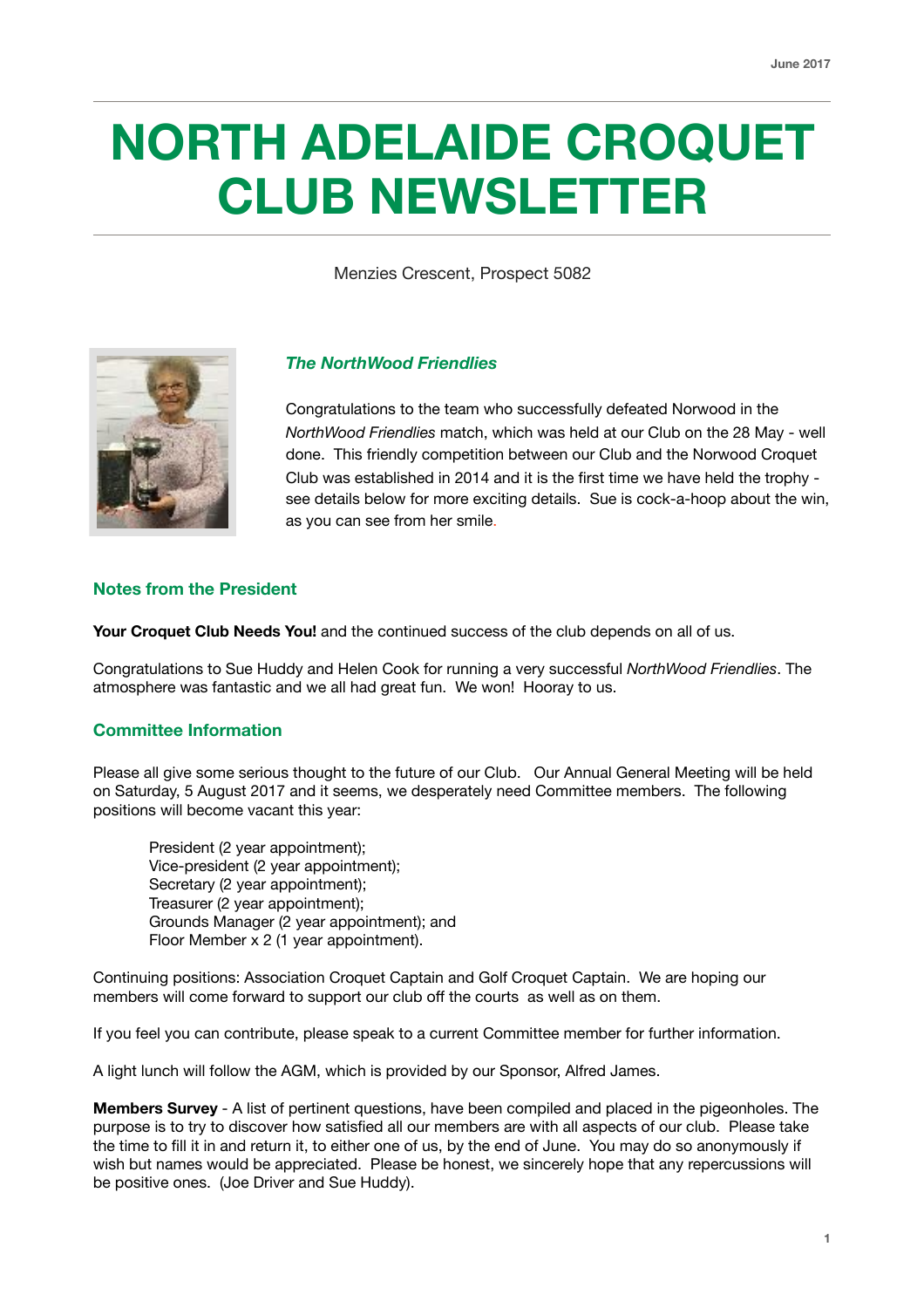# **NORTH ADELAIDE CROQUET CLUB NEWSLETTER**

Menzies Crescent, Prospect 5082



# *The NorthWood Friendlies*

Congratulations to the team who successfully defeated Norwood in the *NorthWood Friendlies* match, which was held at our Club on the 28 May - well done. This friendly competition between our Club and the Norwood Croquet Club was established in 2014 and it is the first time we have held the trophy see details below for more exciting details. Sue is cock-a-hoop about the win, as you can see from her smile.

#### **Notes from the President**

**Your Croquet Club Needs You!** and the continued success of the club depends on all of us.

Congratulations to Sue Huddy and Helen Cook for running a very successful *NorthWood Friendlies*. The atmosphere was fantastic and we all had great fun. We won! Hooray to us.

#### **Committee Information**

Please all give some serious thought to the future of our Club. Our Annual General Meeting will be held on Saturday, 5 August 2017 and it seems, we desperately need Committee members. The following positions will become vacant this year:

President (2 year appointment); Vice-president (2 year appointment); Secretary (2 year appointment); Treasurer (2 year appointment); Grounds Manager (2 year appointment); and Floor Member x 2 (1 year appointment).

Continuing positions: Association Croquet Captain and Golf Croquet Captain. We are hoping our members will come forward to support our club off the courts as well as on them.

If you feel you can contribute, please speak to a current Committee member for further information.

A light lunch will follow the AGM, which is provided by our Sponsor, Alfred James.

**Members Survey** - A list of pertinent questions, have been compiled and placed in the pigeonholes. The purpose is to try to discover how satisfied all our members are with all aspects of our club. Please take the time to fill it in and return it, to either one of us, by the end of June. You may do so anonymously if wish but names would be appreciated. Please be honest, we sincerely hope that any repercussions will be positive ones. (Joe Driver and Sue Huddy).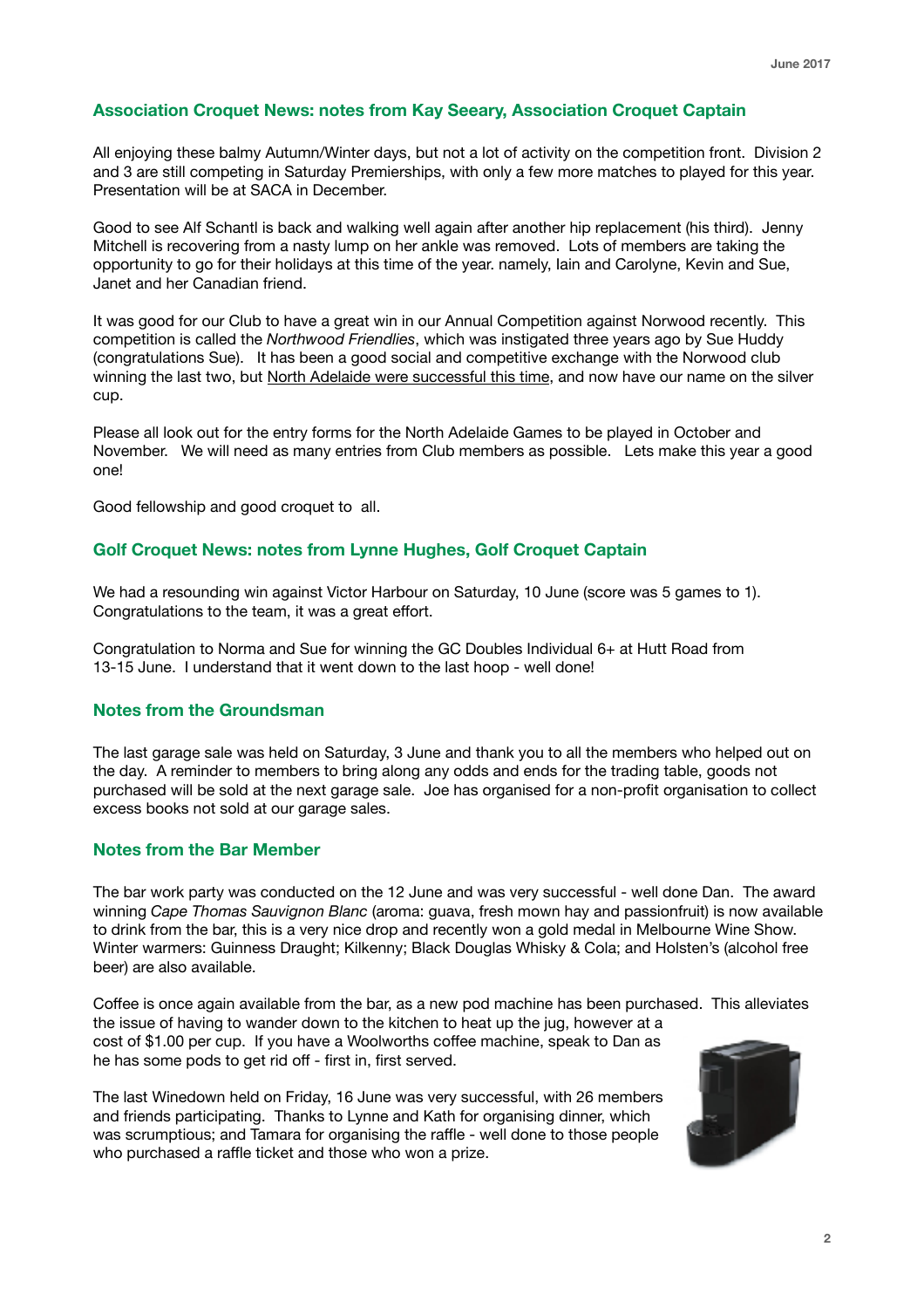# **Association Croquet News: notes from Kay Seeary, Association Croquet Captain**

All enjoying these balmy Autumn/Winter days, but not a lot of activity on the competition front. Division 2 and 3 are still competing in Saturday Premierships, with only a few more matches to played for this year. Presentation will be at SACA in December.

Good to see Alf Schantl is back and walking well again after another hip replacement (his third). Jenny Mitchell is recovering from a nasty lump on her ankle was removed. Lots of members are taking the opportunity to go for their holidays at this time of the year. namely, Iain and Carolyne, Kevin and Sue, Janet and her Canadian friend.

It was good for our Club to have a great win in our Annual Competition against Norwood recently. This competition is called the *Northwood Friendlies*, which was instigated three years ago by Sue Huddy (congratulations Sue). It has been a good social and competitive exchange with the Norwood club winning the last two, but North Adelaide were successful this time, and now have our name on the silver cup.

Please all look out for the entry forms for the North Adelaide Games to be played in October and November. We will need as many entries from Club members as possible. Lets make this year a good one!

Good fellowship and good croquet to all.

# **Golf Croquet News: notes from Lynne Hughes, Golf Croquet Captain**

We had a resounding win against Victor Harbour on Saturday, 10 June (score was 5 games to 1). Congratulations to the team, it was a great effort.

Congratulation to Norma and Sue for winning the GC Doubles Individual 6+ at Hutt Road from 13-15 June. I understand that it went down to the last hoop - well done!

#### **Notes from the Groundsman**

The last garage sale was held on Saturday, 3 June and thank you to all the members who helped out on the day. A reminder to members to bring along any odds and ends for the trading table, goods not purchased will be sold at the next garage sale. Joe has organised for a non-profit organisation to collect excess books not sold at our garage sales.

#### **Notes from the Bar Member**

The bar work party was conducted on the 12 June and was very successful - well done Dan. The award winning *Cape Thomas Sauvignon Blanc* (aroma: guava, fresh mown hay and passionfruit) is now available to drink from the bar, this is a very nice drop and recently won a gold medal in Melbourne Wine Show. Winter warmers: Guinness Draught; Kilkenny; Black Douglas Whisky & Cola; and Holsten's (alcohol free beer) are also available.

Coffee is once again available from the bar, as a new pod machine has been purchased. This alleviates the issue of having to wander down to the kitchen to heat up the jug, however at a cost of \$1.00 per cup. If you have a Woolworths coffee machine, speak to Dan as he has some pods to get rid off - first in, first served.

The last Winedown held on Friday, 16 June was very successful, with 26 members and friends participating. Thanks to Lynne and Kath for organising dinner, which was scrumptious; and Tamara for organising the raffle - well done to those people who purchased a raffle ticket and those who won a prize.

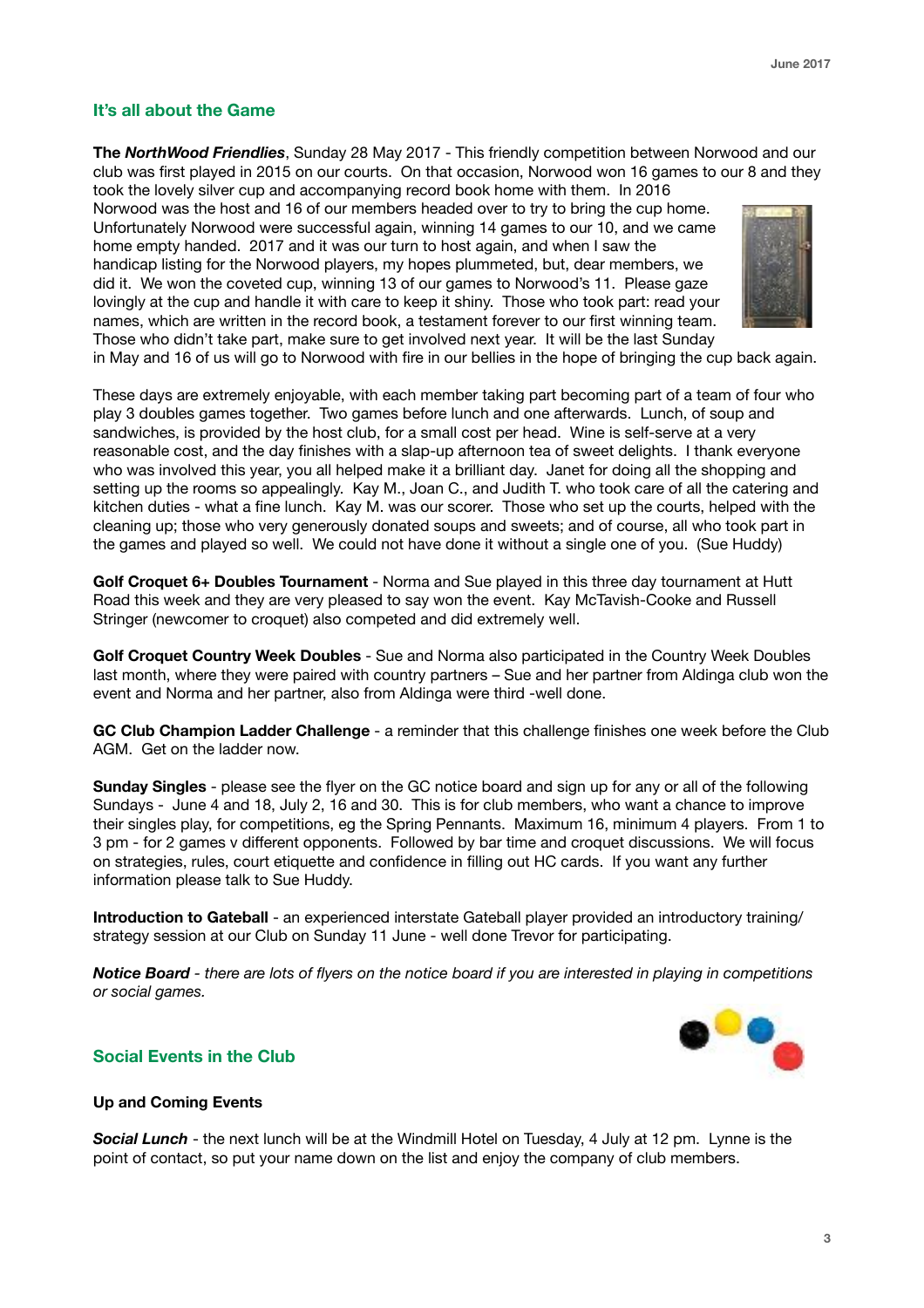# **It's all about the Game**

**The** *NorthWood Friendlies*, Sunday 28 May 2017 - This friendly competition between Norwood and our club was first played in 2015 on our courts. On that occasion, Norwood won 16 games to our 8 and they

took the lovely silver cup and accompanying record book home with them. In 2016 Norwood was the host and 16 of our members headed over to try to bring the cup home. Unfortunately Norwood were successful again, winning 14 games to our 10, and we came home empty handed. 2017 and it was our turn to host again, and when I saw the handicap listing for the Norwood players, my hopes plummeted, but, dear members, we did it. We won the coveted cup, winning 13 of our games to Norwood's 11. Please gaze lovingly at the cup and handle it with care to keep it shiny. Those who took part: read your names, which are written in the record book, a testament forever to our first winning team. Those who didn't take part, make sure to get involved next year. It will be the last Sunday



in May and 16 of us will go to Norwood with fire in our bellies in the hope of bringing the cup back again.

These days are extremely enjoyable, with each member taking part becoming part of a team of four who play 3 doubles games together. Two games before lunch and one afterwards. Lunch, of soup and sandwiches, is provided by the host club, for a small cost per head. Wine is self-serve at a very reasonable cost, and the day finishes with a slap-up afternoon tea of sweet delights. I thank everyone who was involved this year, you all helped make it a brilliant day. Janet for doing all the shopping and setting up the rooms so appealingly. Kay M., Joan C., and Judith T. who took care of all the catering and kitchen duties - what a fine lunch. Kay M. was our scorer. Those who set up the courts, helped with the cleaning up; those who very generously donated soups and sweets; and of course, all who took part in the games and played so well. We could not have done it without a single one of you. (Sue Huddy)

**Golf Croquet 6+ Doubles Tournament** - Norma and Sue played in this three day tournament at Hutt Road this week and they are very pleased to say won the event. Kay McTavish-Cooke and Russell Stringer (newcomer to croquet) also competed and did extremely well.

**Golf Croquet Country Week Doubles** - Sue and Norma also participated in the Country Week Doubles last month, where they were paired with country partners – Sue and her partner from Aldinga club won the event and Norma and her partner, also from Aldinga were third -well done.

**GC Club Champion Ladder Challenge** - a reminder that this challenge finishes one week before the Club AGM. Get on the ladder now.

**Sunday Singles** - please see the flyer on the GC notice board and sign up for any or all of the following Sundays - June 4 and 18, July 2, 16 and 30. This is for club members, who want a chance to improve their singles play, for competitions, eg the Spring Pennants. Maximum 16, minimum 4 players. From 1 to 3 pm - for 2 games v different opponents. Followed by bar time and croquet discussions. We will focus on strategies, rules, court etiquette and confidence in filling out HC cards. If you want any further information please talk to Sue Huddy.

**Introduction to Gateball** - an experienced interstate Gateball player provided an introductory training/ strategy session at our Club on Sunday 11 June - well done Trevor for participating.

*Notice Board - there are lots of flyers on the notice board if you are interested in playing in competitions or social games.*



#### **Social Events in the Club**

#### **Up and Coming Events**

*Social Lunch* - the next lunch will be at the Windmill Hotel on Tuesday, 4 July at 12 pm. Lynne is the point of contact, so put your name down on the list and enjoy the company of club members.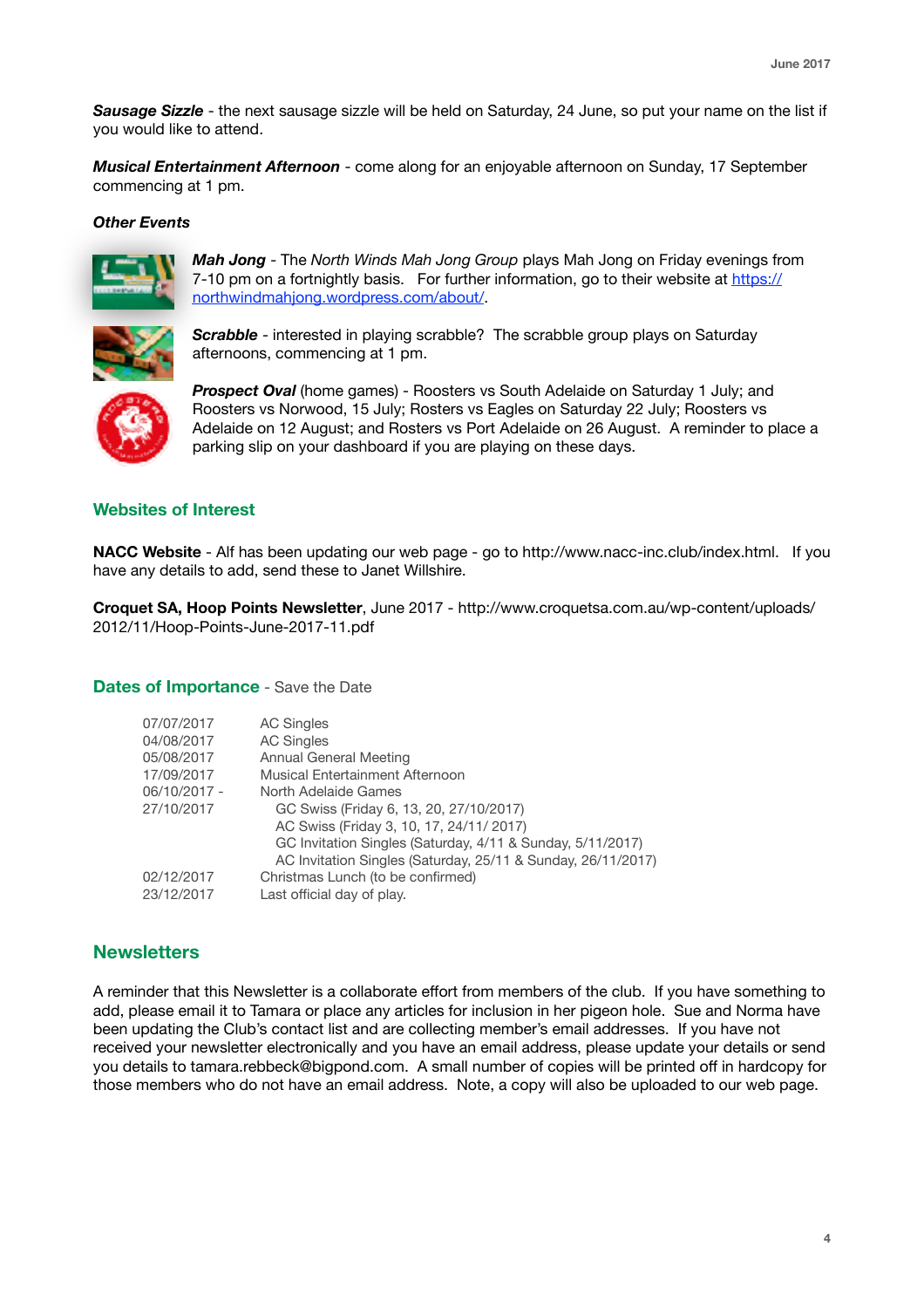*Sausage Sizzle* - the next sausage sizzle will be held on Saturday, 24 June, so put your name on the list if you would like to attend.

*Musical Entertainment Afternoon* - come along for an enjoyable afternoon on Sunday, 17 September commencing at 1 pm.

#### *Other Events*



*Mah Jong* - The *North Winds Mah Jong Group* plays Mah Jong on Friday evenings from 7-10 pm on a fortnightly basis. For further information, go to their website at [https://](https://northwindmahjong.wordpress.com/about/) [northwindmahjong.wordpress.com/about/.](https://northwindmahjong.wordpress.com/about/)



**Scrabble** - interested in playing scrabble? The scrabble group plays on Saturday afternoons, commencing at 1 pm.



*Prospect Oval* (home games) - Roosters vs South Adelaide on Saturday 1 July; and Roosters vs Norwood, 15 July; Rosters vs Eagles on Saturday 22 July; Roosters vs Adelaide on 12 August; and Rosters vs Port Adelaide on 26 August. A reminder to place a parking slip on your dashboard if you are playing on these days.

#### **Websites of Interest**

**NACC Website** - Alf has been updating our web page - go to<http://www.nacc-inc.club/index.html>. If you have any details to add, send these to Janet Willshire.

**Croquet SA, Hoop Points Newsletter**, June 2017 - [http://www.croquetsa.com.au/wp-content/uploads/](http://www.croquetsa.com.au/wp-content/uploads/2012/11/Hoop-Points-June-2017-11.pdf) [2012/11/Hoop-Points-June-2017-11.pdf](http://www.croquetsa.com.au/wp-content/uploads/2012/11/Hoop-Points-June-2017-11.pdf)

**Dates of Importance** - Save the Date

| 07/07/2017   | <b>AC Singles</b>                                            |
|--------------|--------------------------------------------------------------|
| 04/08/2017   | <b>AC Singles</b>                                            |
| 05/08/2017   | <b>Annual General Meeting</b>                                |
| 17/09/2017   | Musical Entertainment Afternoon                              |
| 06/10/2017 - | North Adelaide Games                                         |
| 27/10/2017   | GC Swiss (Friday 6, 13, 20, 27/10/2017)                      |
|              | AC Swiss (Friday 3, 10, 17, 24/11/ 2017)                     |
|              | GC Invitation Singles (Saturday, 4/11 & Sunday, 5/11/2017)   |
|              | AC Invitation Singles (Saturday, 25/11 & Sunday, 26/11/2017) |
| 02/12/2017   | Christmas Lunch (to be confirmed)                            |
| 23/12/2017   | Last official day of play.                                   |

# **Newsletters**

A reminder that this Newsletter is a collaborate effort from members of the club. If you have something to add, please email it to Tamara or place any articles for inclusion in her pigeon hole. Sue and Norma have been updating the Club's contact list and are collecting member's email addresses. If you have not received your newsletter electronically and you have an email address, please update your details or send you details to [tamara.rebbeck@bigpond.com](mailto:tamara.rebbeck@bigpond.com). A small number of copies will be printed off in hardcopy for those members who do not have an email address. Note, a copy will also be uploaded to our web page.